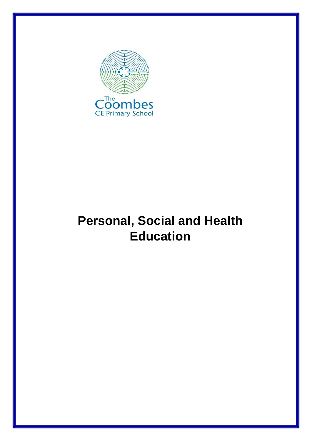

# **Personal, Social and Health Education**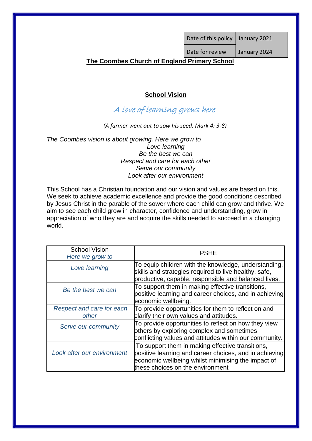# **The Coombes Church of England Primary School**

## **School Vision**

# A love of learning grows here

*(A farmer went out to sow his seed. Mark 4: 3-8)*

*The Coombes vision is about growing. Here we grow to Love learning Be the best we can Respect and care for each other Serve our community Look after our environment*

This School has a Christian foundation and our vision and values are based on this. We seek to achieve academic excellence and provide the good conditions described by Jesus Christ in the parable of the sower where each child can grow and thrive. We aim to see each child grow in character, confidence and understanding, grow in appreciation of who they are and acquire the skills needed to succeed in a changing world.

| <b>School Vision</b>       | <b>PSHE</b>                                                                                                                                                                                          |
|----------------------------|------------------------------------------------------------------------------------------------------------------------------------------------------------------------------------------------------|
| Here we grow to            |                                                                                                                                                                                                      |
| Love learning              | To equip children with the knowledge, understanding,<br>skills and strategies required to live healthy, safe,<br>productive, capable, responsible and balanced lives.                                |
| Be the best we can         | To support them in making effective transitions,<br>positive learning and career choices, and in achieving<br>economic wellbeing.                                                                    |
| Respect and care for each  | To provide opportunities for them to reflect on and                                                                                                                                                  |
| other                      | clarify their own values and attitudes.                                                                                                                                                              |
| Serve our community        | To provide opportunities to reflect on how they view<br>others by exploring complex and sometimes<br>conflicting values and attitudes within our community.                                          |
|                            |                                                                                                                                                                                                      |
| Look after our environment | To support them in making effective transitions,<br>positive learning and career choices, and in achieving<br>economic wellbeing whilst minimising the impact of<br>these choices on the environment |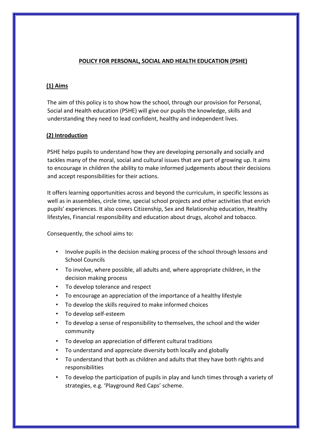#### **POLICY FOR PERSONAL, SOCIAL AND HEALTH EDUCATION (PSHE)**

#### **(1) Aims**

The aim of this policy is to show how the school, through our provision for Personal, Social and Health education (PSHE) will give our pupils the knowledge, skills and understanding they need to lead confident, healthy and independent lives.

### **(2) Introduction**

PSHE helps pupils to understand how they are developing personally and socially and tackles many of the moral, social and cultural issues that are part of growing up. It aims to encourage in children the ability to make informed judgements about their decisions and accept responsibilities for their actions.

It offers learning opportunities across and beyond the curriculum, in specific lessons as well as in assemblies, circle time, special school projects and other activities that enrich pupils' experiences. It also covers Citizenship, Sex and Relationship education, Healthy lifestyles, Financial responsibility and education about drugs, alcohol and tobacco.

Consequently, the school aims to:

- Involve pupils in the decision making process of the school through lessons and School Councils
- To involve, where possible, all adults and, where appropriate children, in the decision making process
- To develop tolerance and respect
- To encourage an appreciation of the importance of a healthy lifestyle
- To develop the skills required to make informed choices
- To develop self-esteem
- To develop a sense of responsibility to themselves, the school and the wider community
- To develop an appreciation of different cultural traditions
- To understand and appreciate diversity both locally and globally
- To understand that both as children and adults that they have both rights and responsibilities
- To develop the participation of pupils in play and lunch times through a variety of strategies, e.g. 'Playground Red Caps' scheme.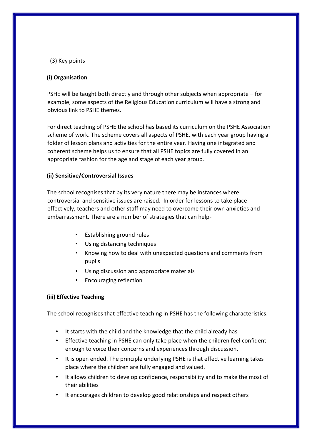#### (3) Key points

#### **(i) Organisation**

PSHE will be taught both directly and through other subjects when appropriate – for example, some aspects of the Religious Education curriculum will have a strong and obvious link to PSHE themes.

For direct teaching of PSHE the school has based its curriculum on the PSHE Association scheme of work. The scheme covers all aspects of PSHE, with each year group having a folder of lesson plans and activities for the entire year. Having one integrated and coherent scheme helps us to ensure that all PSHE topics are fully covered in an appropriate fashion for the age and stage of each year group.

#### **(ii) Sensitive/Controversial Issues**

The school recognises that by its very nature there may be instances where controversial and sensitive issues are raised. In order for lessons to take place effectively, teachers and other staff may need to overcome their own anxieties and embarrassment. There are a number of strategies that can help-

- Establishing ground rules
- Using distancing techniques
- Knowing how to deal with unexpected questions and comments from pupils
- Using discussion and appropriate materials
- Encouraging reflection

#### **(iii) Effective Teaching**

The school recognises that effective teaching in PSHE has the following characteristics:

- It starts with the child and the knowledge that the child already has
- Effective teaching in PSHE can only take place when the children feel confident enough to voice their concerns and experiences through discussion.
- It is open ended. The principle underlying PSHE is that effective learning takes place where the children are fully engaged and valued.
- It allows children to develop confidence, responsibility and to make the most of their abilities
- It encourages children to develop good relationships and respect others